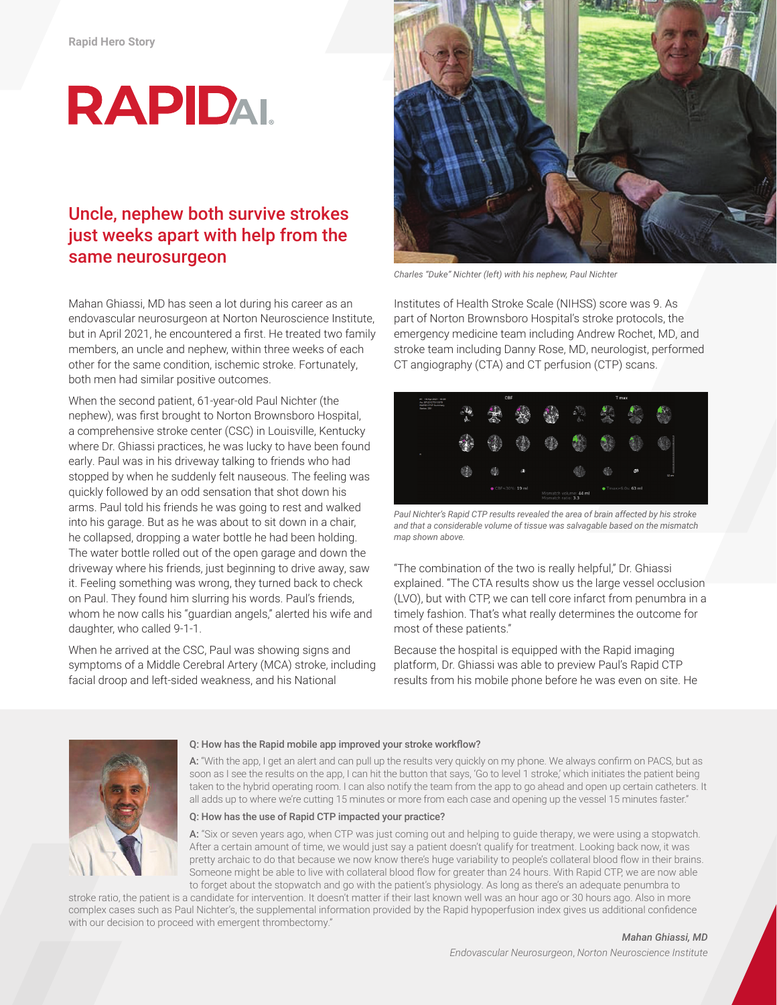# **RAPIDAL**

## Uncle, nephew both survive strokes just weeks apart with help from the same neurosurgeon

Mahan Ghiassi, MD has seen a lot during his career as an endovascular neurosurgeon at Norton Neuroscience Institute, but in April 2021, he encountered a first. He treated two family members, an uncle and nephew, within three weeks of each other for the same condition, ischemic stroke. Fortunately, both men had similar positive outcomes.

When the second patient, 61-year-old Paul Nichter (the nephew), was first brought to Norton Brownsboro Hospital, a comprehensive stroke center (CSC) in Louisville, Kentucky where Dr. Ghiassi practices, he was lucky to have been found early. Paul was in his driveway talking to friends who had stopped by when he suddenly felt nauseous. The feeling was quickly followed by an odd sensation that shot down his arms. Paul told his friends he was going to rest and walked into his garage. But as he was about to sit down in a chair, he collapsed, dropping a water bottle he had been holding. The water bottle rolled out of the open garage and down the driveway where his friends, just beginning to drive away, saw it. Feeling something was wrong, they turned back to check on Paul. They found him slurring his words. Paul's friends, whom he now calls his "guardian angels," alerted his wife and daughter, who called 9-1-1.

When he arrived at the CSC, Paul was showing signs and symptoms of a Middle Cerebral Artery (MCA) stroke, including facial droop and left-sided weakness, and his National



*Charles "Duke" Nichter (left) with his nephew, Paul Nichter*

Institutes of Health Stroke Scale (NIHSS) score was 9. As part of Norton Brownsboro Hospital's stroke protocols, the emergency medicine team including Andrew Rochet, MD, and stroke team including Danny Rose, MD, neurologist, performed CT angiography (CTA) and CT perfusion (CTP) scans.

| #1 18-Apr-2021 16:06<br>Au ERJ210T313370<br>RAPID CT-P Summary<br>Series: 201 | CBF |                          |          |  | T max                                         |  |                            |         |
|-------------------------------------------------------------------------------|-----|--------------------------|----------|--|-----------------------------------------------|--|----------------------------|---------|
|                                                                               | m   |                          |          |  | б'n.                                          |  |                            |         |
| ×                                                                             |     |                          |          |  |                                               |  |                            |         |
|                                                                               |     | 鶸                        | $\alpha$ |  |                                               |  | dê                         | $32$ cm |
|                                                                               |     | $\bullet$ CBF<30%: 19 ml |          |  | Mismatch volume: 44 ml<br>Mismatch ratio: 3.3 |  | $\bullet$ Tmax>6.0s: 63 ml |         |

*Paul Nichter's Rapid CTP results revealed the area of brain affected by his stroke and that a considerable volume of tissue was salvagable based on the mismatch map shown above.*

"The combination of the two is really helpful," Dr. Ghiassi explained. "The CTA results show us the large vessel occlusion (LVO), but with CTP, we can tell core infarct from penumbra in a timely fashion. That's what really determines the outcome for most of these patients."

Because the hospital is equipped with the Rapid imaging platform, Dr. Ghiassi was able to preview Paul's Rapid CTP results from his mobile phone before he was even on site. He



### Q: How has the Rapid mobile app improved your stroke workflow?

A: "With the app, I get an alert and can pull up the results very quickly on my phone. We always confirm on PACS, but as soon as I see the results on the app, I can hit the button that says, 'Go to level 1 stroke,' which initiates the patient being taken to the hybrid operating room. I can also notify the team from the app to go ahead and open up certain catheters. It all adds up to where we're cutting 15 minutes or more from each case and opening up the vessel 15 minutes faster."

#### Q: How has the use of Rapid CTP impacted your practice?

A: "Six or seven years ago, when CTP was just coming out and helping to guide therapy, we were using a stopwatch. After a certain amount of time, we would just say a patient doesn't qualify for treatment. Looking back now, it was pretty archaic to do that because we now know there's huge variability to people's collateral blood flow in their brains. Someone might be able to live with collateral blood flow for greater than 24 hours. With Rapid CTP, we are now able to forget about the stopwatch and go with the patient's physiology. As long as there's an adequate penumbra to

stroke ratio, the patient is a candidate for intervention. It doesn't matter if their last known well was an hour ago or 30 hours ago. Also in more complex cases such as Paul Nichter's, the supplemental information provided by the Rapid hypoperfusion index gives us additional confidence with our decision to proceed with emergent thrombectomy."